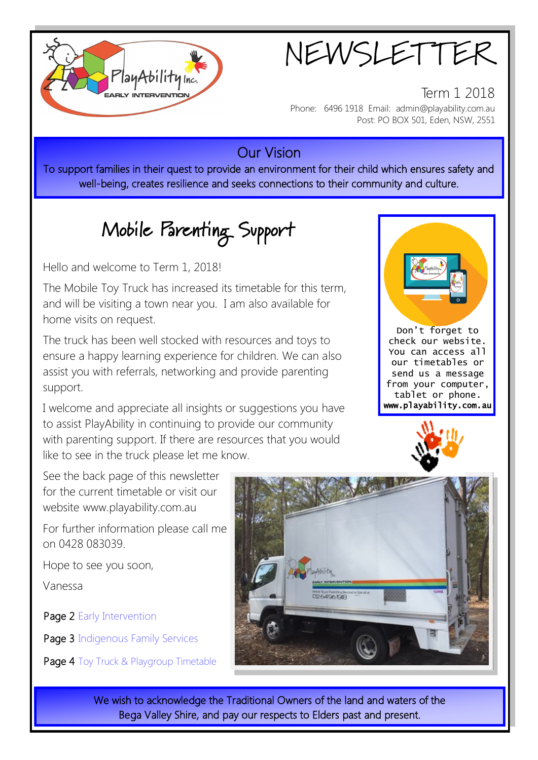

NEWSLETTER

Term 1 2018 Phone: 6496 1918 Email: admin@playability.com.au Post: PO BOX 501, Eden, NSW, 2551

### Our Vision

To support families in their quest to provide an environment for their child which ensures safety and well-being, creates resilience and seeks connections to their community and culture.

# Mobile Parenting Support

Hello and welcome to Term 1, 2018!

The Mobile Toy Truck has increased its timetable for this term, and will be visiting a town near you. I am also available for home visits on request.

The truck has been well stocked with resources and toys to ensure a happy learning experience for children. We can also assist you with referrals, networking and provide parenting support.

I welcome and appreciate all insights or suggestions you have to assist PlayAbility in continuing to provide our community with parenting support. If there are resources that you would like to see in the truck please let me know.



Don't forget to check our website. You can access all our timetables or send us a message from your computer, tablet or phone. www.playability.com.au



See the back page of this newsletter for the current timetable or visit our website www.playability.com.au

For further information please call me on 0428 083039.

Hope to see you soon,

Vanessa

ī

Page 2 Early Intervention

Page 3 Indigenous Family Services

Page 4 Toy Truck & Playgroup Timetable



We wish to acknowledge the Traditional Owners of the land and waters of the Bega Valley Shire, and pay our respects to Elders past and present.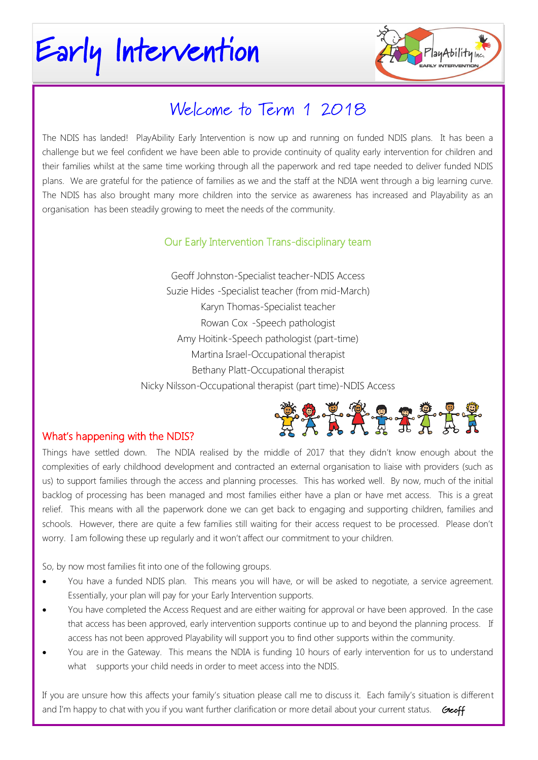# Early Intervention



### Welcome to Term 1 2018

The NDIS has landed! PlayAbility Early Intervention is now up and running on funded NDIS plans. It has been a challenge but we feel confident we have been able to provide continuity of quality early intervention for children and their families whilst at the same time working through all the paperwork and red tape needed to deliver funded NDIS plans. We are grateful for the patience of families as we and the staff at the NDIA went through a big learning curve. The NDIS has also brought many more children into the service as awareness has increased and Playability as an organisation has been steadily growing to meet the needs of the community.

#### Our Early Intervention Trans-disciplinary team

Geoff Johnston-Specialist teacher-NDIS Access Suzie Hides -Specialist teacher (from mid-March) Karyn Thomas-Specialist teacher Rowan Cox -Speech pathologist Amy Hoitink-Speech pathologist (part-time) Martina Israel-Occupational therapist Bethany Platt-Occupational therapist Nicky Nilsson-Occupational therapist (part time)-NDIS Access



#### What's happening with the NDIS?

Things have settled down. The NDIA realised by the middle of 2017 that they didn't know enough about the complexities of early childhood development and contracted an external organisation to liaise with providers (such as us) to support families through the access and planning processes. This has worked well. By now, much of the initial backlog of processing has been managed and most families either have a plan or have met access. This is a great relief. This means with all the paperwork done we can get back to engaging and supporting children, families and schools. However, there are quite a few families still waiting for their access request to be processed. Please don't worry. I am following these up regularly and it won't affect our commitment to your children.

So, by now most families fit into one of the following groups.

- You have a funded NDIS plan. This means you will have, or will be asked to negotiate, a service agreement. Essentially, your plan will pay for your Early Intervention supports.
- You have completed the Access Request and are either waiting for approval or have been approved. In the case that access has been approved, early intervention supports continue up to and beyond the planning process. If access has not been approved Playability will support you to find other supports within the community.
- You are in the Gateway. This means the NDIA is funding 10 hours of early intervention for us to understand what supports your child needs in order to meet access into the NDIS.

If you are unsure how this affects your family's situation please call me to discuss it. Each family's situation is different and I'm happy to chat with you if you want further clarification or more detail about your current status. Geoff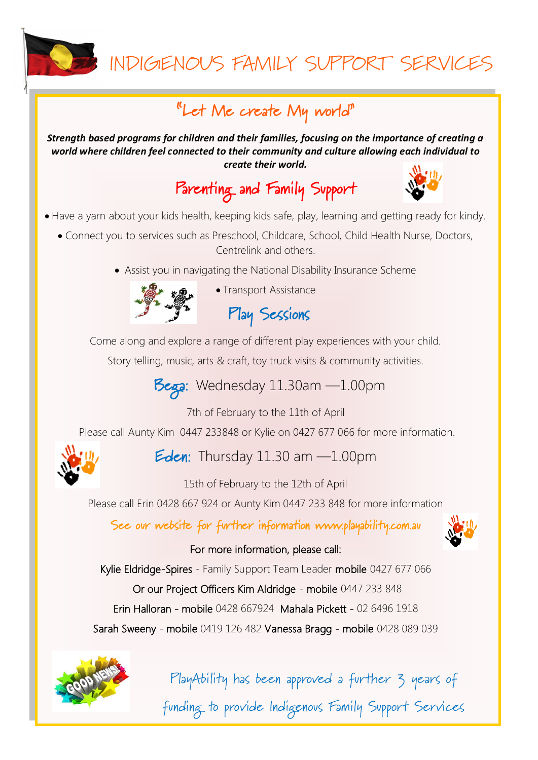

## INDIGENOUS FAMILY SUPPORT SERVICES

### "Let Me create My world"

*Strength based programs for children and their families, focusing on the importance of creating a world where children feel connected to their community and culture allowing each individual to create their world.*

Parenting and Family Support



- Have a yarn about your kids health, keeping kids safe, play, learning and getting ready for kindy.
	- Connect you to services such as Preschool, Childcare, School, Child Health Nurse, Doctors, Centrelink and others.
		- Assist you in navigating the National Disability Insurance Scheme



• Transport Assistance

Play Sessions

Come along and explore a range of different play experiences with your child.

Story telling, music, arts & craft, toy truck visits & community activities.

Bega: Wednesday 11.30am -1.00pm

7th of February to the 11th of April

Please call Aunty Kim 0447 233848 or Kylie on 0427 677 066 for more information.



Eden: Thursday  $11.30$  am  $-1.00$ pm

15th of February to the 12th of April

Please call Erin 0428 667 924 or Aunty Kim 0447 233 848 for more information

See our website for further information www.playability.com.au

#### For more information, please call:

Kylie Eldridge-Spires - Family Support Team Leader mobile 0427 677 066

Or our Project Officers Kim Aldridge - mobile 0447 233 848

Erin Halloran - mobile 0428 667924 Mahala Pickett - 02 6496 1918

Sarah Sweeny - mobile 0419 126 482 Vanessa Bragg - mobile 0428 089 039



PlayAbility has been approved a further 3 years of

funding to provide Indigenous Family Support Services